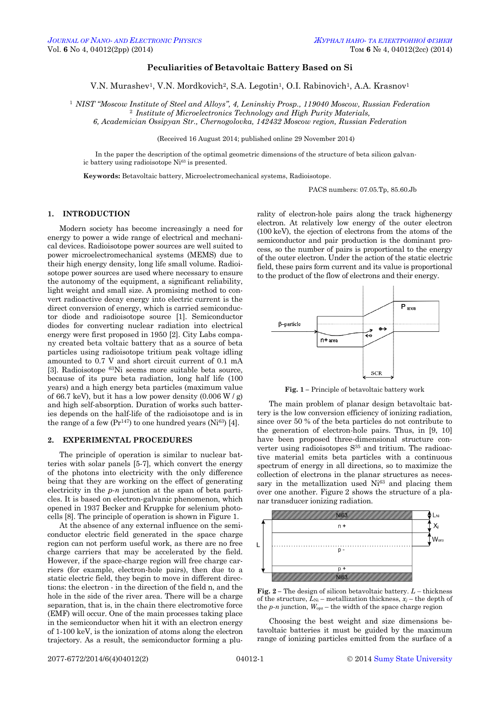### **Peculiarities of Betavoltaic Battery Based on Si**

V.N. Murashev<sup>1</sup>, V.N. Mordkovich<sup>2</sup>, S.A. Legotin<sup>1</sup>, O.I. Rabinovich<sup>1</sup>, A.A. Krasnov<sup>1</sup>

<sup>1</sup> *NIST "Moscow Institute of Steel and Alloys", 4, Leninskiy Prosp., 119040 Moscow, Russian Federation* <sup>2</sup> *Institute of Microelectronics Technology and High Purity Materials,* 

*6, Academician Ossipyan Str., Chernogolovka, 142432 Moscow region, Russian Federation*

(Received 16 August 2014; published online 29 November 2014)

In the paper the description of the optimal geometric dimensions of the structure of beta silicon galvanic battery using radioisotope Ni<sup>63</sup> is presented.

**Keywords:** Betavoltaic battery, Microelectromechanical systems, Radioisotope.

PACS numbers: 07.05.Tp, 85.60.Jb

#### **1. INTRODUCTION**

Modern society has become increasingly a need for energy to power a wide range of electrical and mechanical devices. Radioisotope power sources are well suited to power microelectromechanical systems (MEMS) due to their high energy density, long life small volume. Radioisotope power sources are used where necessary to ensure the autonomy of the equipment, a significant reliability, light weight and small size. A promising method to convert radioactive decay energy into electric current is the direct conversion of energy, which is carried semiconductor diode and radioisotope source [1]. Semiconductor diodes for converting nuclear radiation into electrical energy were first proposed in 1950 [2]. City Labs company created beta voltaic battery that as a source of beta particles using radioisotope tritium peak voltage idling amounted to 0.7 V and short circuit current of 0.1 mA [3]. Radioisotope <sup>63</sup>Ni seems more suitable beta source, because of its pure beta radiation, long half life (100 years) and a high energy beta particles (maximum value of 66.7 keV), but it has a low power density  $(0.006 W/g)$ and high self-absorption. Duration of works such batteries depends on the half-life of the radioisotope and is in the range of a few  $(Pr^{147})$  to one hundred years  $(Ni^{63})$  [4].

#### **2. EXPERIMENTAL PROCEDURES**

The principle of operation is similar to nuclear batteries with solar panels [5-7], which convert the energy of the photons into electricity with the only difference being that they are working on the effect of generating electricity in the *p-n* junction at the span of beta particles. It is based on electron-galvanic phenomenon, which opened in 1937 Becker and Kruppke for selenium photocells [8]. The principle of operation is shown in Figure 1.

At the absence of any external influence on the semiconductor electric field generated in the space charge region can not perform useful work, as there are no free charge carriers that may be accelerated by the field. However, if the space-charge region will free charge carriers (for example, electron-hole pairs), then due to a static electric field, they begin to move in different directions: the electron - in the direction of the field n, and the hole in the side of the river area. There will be a charge separation, that is, in the chain there electromotive force (EMF) will occur. One of the main processes taking place in the semiconductor when hit it with an electron energy of 1-100 keV, is the ionization of atoms along the electron trajectory. As a result, the semiconductor forming a plurality of electron-hole pairs along the track highenergy electron. At relatively low energy of the outer electron (100 keV), the ejection of electrons from the atoms of the semiconductor and pair production is the dominant process, so the number of pairs is proportional to the energy of the outer electron. Under the action of the static electric field, these pairs form current and its value is proportional to the product of the flow of electrons and their energy.



**Fig. 1 –** Principle of betavoltaic battery work

The main problem of planar design betavoltaic battery is the low conversion efficiency of ionizing radiation, since over 50 % of the beta particles do not contribute to the generation of electron-hole pairs. Thus, in [9, 10] have been proposed three-dimensional structure converter using radioisotopes  $S<sup>35</sup>$  and tritium. The radioactive material emits beta particles with a continuous spectrum of energy in all directions, so to maximize the collection of electrons in the planar structures as necessary in the metallization used  $Ni<sup>63</sup>$  and placing them over one another. Figure 2 shows the structure of a planar transducer ionizing radiation.



**Fig. 2 –** The design of silicon betavoltaic battery. *L* – thickness of the structure,  $L_{\text{Ni}}$  – metallization thickness,  $x_i$  – the depth of the  $p$ -*n* junction,  $W_{\text{opz}}$  – the width of the space charge region

Choosing the best weight and size dimensions betavoltaic batteries it must be guided by the maximum range of ionizing particles emitted from the surface of a

<span id="page-0-3"></span><span id="page-0-2"></span><span id="page-0-1"></span><span id="page-0-0"></span>2077-6772/2014/6(4)04012(2) [04012-](#page-0-2)1 © [2014](#page-0-3) [Sumy State University](http://sumdu.edu.ua/)